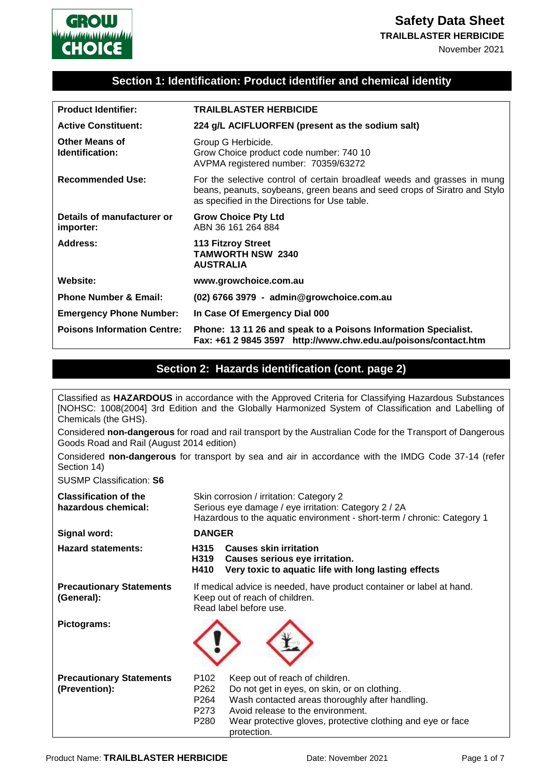

**TRAILBLASTER HERBICIDE**

November 2021

### **Section 1: Identification: Product identifier and chemical identity**

| <b>Product Identifier:</b>              | <b>TRAILBLASTER HERBICIDE</b>                                                                                                                                                                          |
|-----------------------------------------|--------------------------------------------------------------------------------------------------------------------------------------------------------------------------------------------------------|
| <b>Active Constituent:</b>              | 224 g/L ACIFLUORFEN (present as the sodium salt)                                                                                                                                                       |
| Other Means of<br>Identification:       | Group G Herbicide.<br>Grow Choice product code number: 740 10<br>AVPMA registered number: 70359/63272                                                                                                  |
| <b>Recommended Use:</b>                 | For the selective control of certain broadleaf weeds and grasses in mung<br>beans, peanuts, soybeans, green beans and seed crops of Siratro and Stylo<br>as specified in the Directions for Use table. |
| Details of manufacturer or<br>importer: | <b>Grow Choice Pty Ltd</b><br>ABN 36 161 264 884                                                                                                                                                       |
| Address:                                | <b>113 Fitzroy Street</b><br><b>TAMWORTH NSW 2340</b><br><b>AUSTRALIA</b>                                                                                                                              |
| Website:                                | www.growchoice.com.au                                                                                                                                                                                  |
| <b>Phone Number &amp; Email:</b>        | (02) 6766 3979 - admin@growchoice.com.au                                                                                                                                                               |
| <b>Emergency Phone Number:</b>          | In Case Of Emergency Dial 000                                                                                                                                                                          |
| <b>Poisons Information Centre:</b>      | Phone: 13 11 26 and speak to a Poisons Information Specialist.<br>Fax: +61 2 9845 3597 http://www.chw.edu.au/poisons/contact.htm                                                                       |

#### **Section 2: Hazards identification (cont. page 2)**

| Chemicals (the GHS).                                | Classified as HAZARDOUS in accordance with the Approved Criteria for Classifying Hazardous Substances<br>[NOHSC: 1008(2004] 3rd Edition and the Globally Harmonized System of Classification and Labelling of                                                                                                                    |  |
|-----------------------------------------------------|----------------------------------------------------------------------------------------------------------------------------------------------------------------------------------------------------------------------------------------------------------------------------------------------------------------------------------|--|
| Goods Road and Rail (August 2014 edition)           | Considered non-dangerous for road and rail transport by the Australian Code for the Transport of Dangerous                                                                                                                                                                                                                       |  |
| Section 14)                                         | Considered non-dangerous for transport by sea and air in accordance with the IMDG Code 37-14 (refer                                                                                                                                                                                                                              |  |
| <b>SUSMP Classification: S6</b>                     |                                                                                                                                                                                                                                                                                                                                  |  |
| <b>Classification of the</b><br>hazardous chemical: | Skin corrosion / irritation: Category 2<br>Serious eye damage / eye irritation: Category 2 / 2A<br>Hazardous to the aquatic environment - short-term / chronic: Category 1                                                                                                                                                       |  |
| Signal word:                                        | <b>DANGER</b>                                                                                                                                                                                                                                                                                                                    |  |
| <b>Hazard statements:</b>                           | <b>Causes skin irritation</b><br>H315<br>H319<br>Causes serious eye irritation.<br>H410<br>Very toxic to aquatic life with long lasting effects                                                                                                                                                                                  |  |
| <b>Precautionary Statements</b><br>(General):       | If medical advice is needed, have product container or label at hand.<br>Keep out of reach of children.<br>Read label before use.                                                                                                                                                                                                |  |
| Pictograms:                                         |                                                                                                                                                                                                                                                                                                                                  |  |
| <b>Precautionary Statements</b><br>(Prevention):    | P <sub>102</sub><br>Keep out of reach of children.<br>P <sub>262</sub><br>Do not get in eyes, on skin, or on clothing.<br>P <sub>264</sub><br>Wash contacted areas thoroughly after handling.<br>P273<br>Avoid release to the environment.<br>P280<br>Wear protective gloves, protective clothing and eye or face<br>protection. |  |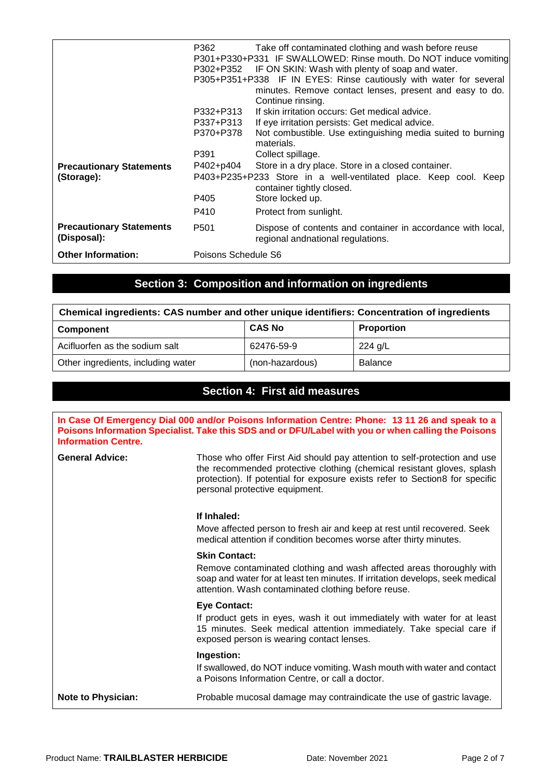|                                                | P362<br>P302+P352                                                                             | Take off contaminated clothing and wash before reuse<br>P301+P330+P331 IF SWALLOWED: Rinse mouth. Do NOT induce vomiting<br>IF ON SKIN: Wash with plenty of soap and water.<br>P305+P351+P338 IF IN EYES: Rinse cautiously with water for several<br>minutes. Remove contact lenses, present and easy to do.<br>Continue rinsing. |
|------------------------------------------------|-----------------------------------------------------------------------------------------------|-----------------------------------------------------------------------------------------------------------------------------------------------------------------------------------------------------------------------------------------------------------------------------------------------------------------------------------|
|                                                | P332+P313                                                                                     | If skin irritation occurs: Get medical advice.                                                                                                                                                                                                                                                                                    |
|                                                | P337+P313                                                                                     | If eye irritation persists: Get medical advice.                                                                                                                                                                                                                                                                                   |
|                                                | P370+P378                                                                                     | Not combustible. Use extinguishing media suited to burning<br>materials.                                                                                                                                                                                                                                                          |
|                                                | P391                                                                                          | Collect spillage.                                                                                                                                                                                                                                                                                                                 |
| <b>Precautionary Statements</b>                | P402+p404                                                                                     | Store in a dry place. Store in a closed container.                                                                                                                                                                                                                                                                                |
| (Storage):                                     | P403+P235+P233 Store in a well-ventilated place. Keep cool. Keep<br>container tightly closed. |                                                                                                                                                                                                                                                                                                                                   |
|                                                | P405                                                                                          | Store locked up.                                                                                                                                                                                                                                                                                                                  |
|                                                | P410                                                                                          | Protect from sunlight.                                                                                                                                                                                                                                                                                                            |
| <b>Precautionary Statements</b><br>(Disposal): | P <sub>501</sub>                                                                              | Dispose of contents and container in accordance with local,<br>regional andnational regulations.                                                                                                                                                                                                                                  |
| <b>Other Information:</b>                      | Poisons Schedule S6                                                                           |                                                                                                                                                                                                                                                                                                                                   |

# **Section 3: Composition and information on ingredients**

| Chemical ingredients: CAS number and other unique identifiers: Concentration of ingredients |                 |                   |
|---------------------------------------------------------------------------------------------|-----------------|-------------------|
| Component                                                                                   | <b>CAS No</b>   | <b>Proportion</b> |
| Acifluorfen as the sodium salt                                                              | 62476-59-9      | 224 g/L           |
| Other ingredients, including water                                                          | (non-hazardous) | <b>Balance</b>    |

### **Section 4: First aid measures**

| <b>Information Centre.</b> | In Case Of Emergency Dial 000 and/or Poisons Information Centre: Phone: 13 11 26 and speak to a<br>Poisons Information Specialist. Take this SDS and or DFU/Label with you or when calling the Poisons                                                                |
|----------------------------|-----------------------------------------------------------------------------------------------------------------------------------------------------------------------------------------------------------------------------------------------------------------------|
| <b>General Advice:</b>     | Those who offer First Aid should pay attention to self-protection and use<br>the recommended protective clothing (chemical resistant gloves, splash<br>protection). If potential for exposure exists refer to Section8 for specific<br>personal protective equipment. |
|                            | If Inhaled:                                                                                                                                                                                                                                                           |
|                            | Move affected person to fresh air and keep at rest until recovered. Seek<br>medical attention if condition becomes worse after thirty minutes.                                                                                                                        |
|                            | <b>Skin Contact:</b>                                                                                                                                                                                                                                                  |
|                            | Remove contaminated clothing and wash affected areas thoroughly with<br>soap and water for at least ten minutes. If irritation develops, seek medical<br>attention. Wash contaminated clothing before reuse.                                                          |
|                            | <b>Eye Contact:</b>                                                                                                                                                                                                                                                   |
|                            | If product gets in eyes, wash it out immediately with water for at least<br>15 minutes. Seek medical attention immediately. Take special care if<br>exposed person is wearing contact lenses.                                                                         |
|                            | Ingestion:                                                                                                                                                                                                                                                            |
|                            | If swallowed, do NOT induce vomiting. Wash mouth with water and contact<br>a Poisons Information Centre, or call a doctor.                                                                                                                                            |
| <b>Note to Physician:</b>  | Probable mucosal damage may contraindicate the use of gastric lavage.                                                                                                                                                                                                 |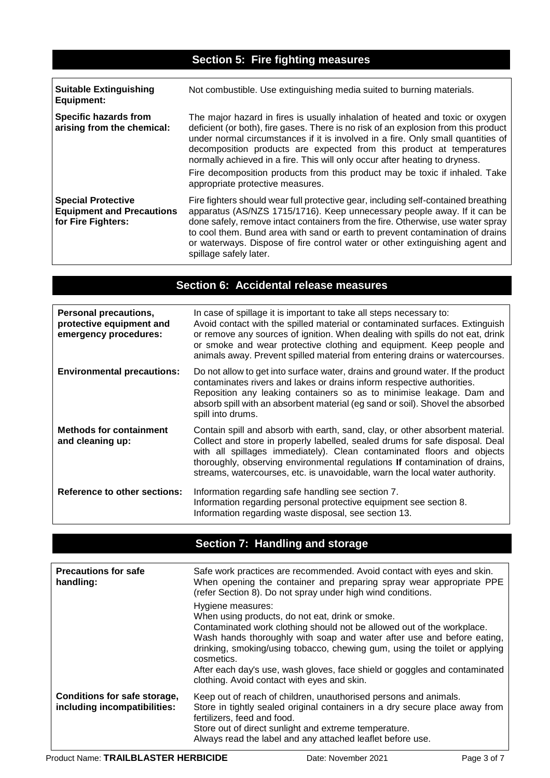# **Section 5: Fire fighting measures**

| <b>Suitable Extinguishing</b><br>Equipment:                                         | Not combustible. Use extinguishing media suited to burning materials.                                                                                                                                                                                                                                                                                                                                                                                                                                                               |
|-------------------------------------------------------------------------------------|-------------------------------------------------------------------------------------------------------------------------------------------------------------------------------------------------------------------------------------------------------------------------------------------------------------------------------------------------------------------------------------------------------------------------------------------------------------------------------------------------------------------------------------|
| Specific hazards from<br>arising from the chemical:                                 | The major hazard in fires is usually inhalation of heated and toxic or oxygen<br>deficient (or both), fire gases. There is no risk of an explosion from this product<br>under normal circumstances if it is involved in a fire. Only small quantities of<br>decomposition products are expected from this product at temperatures<br>normally achieved in a fire. This will only occur after heating to dryness.<br>Fire decomposition products from this product may be toxic if inhaled. Take<br>appropriate protective measures. |
| <b>Special Protective</b><br><b>Equipment and Precautions</b><br>for Fire Fighters: | Fire fighters should wear full protective gear, including self-contained breathing<br>apparatus (AS/NZS 1715/1716). Keep unnecessary people away. If it can be<br>done safely, remove intact containers from the fire. Otherwise, use water spray<br>to cool them. Bund area with sand or earth to prevent contamination of drains<br>or waterways. Dispose of fire control water or other extinguishing agent and<br>spillage safely later.                                                                                        |

# **Section 6: Accidental release measures**

| <b>Personal precautions,</b><br>protective equipment and<br>emergency procedures: | In case of spillage it is important to take all steps necessary to:<br>Avoid contact with the spilled material or contaminated surfaces. Extinguish<br>or remove any sources of ignition. When dealing with spills do not eat, drink<br>or smoke and wear protective clothing and equipment. Keep people and<br>animals away. Prevent spilled material from entering drains or watercourses.          |
|-----------------------------------------------------------------------------------|-------------------------------------------------------------------------------------------------------------------------------------------------------------------------------------------------------------------------------------------------------------------------------------------------------------------------------------------------------------------------------------------------------|
| <b>Environmental precautions:</b>                                                 | Do not allow to get into surface water, drains and ground water. If the product<br>contaminates rivers and lakes or drains inform respective authorities.<br>Reposition any leaking containers so as to minimise leakage. Dam and<br>absorb spill with an absorbent material (eg sand or soil). Shovel the absorbed<br>spill into drums.                                                              |
| <b>Methods for containment</b><br>and cleaning up:                                | Contain spill and absorb with earth, sand, clay, or other absorbent material.<br>Collect and store in properly labelled, sealed drums for safe disposal. Deal<br>with all spillages immediately). Clean contaminated floors and objects<br>thoroughly, observing environmental regulations If contamination of drains,<br>streams, watercourses, etc. is unavoidable, warn the local water authority. |
| <b>Reference to other sections:</b>                                               | Information regarding safe handling see section 7.<br>Information regarding personal protective equipment see section 8.<br>Information regarding waste disposal, see section 13.                                                                                                                                                                                                                     |

# **Section 7: Handling and storage**

| <b>Precautions for safe</b><br>handling:                     | Safe work practices are recommended. Avoid contact with eyes and skin.<br>When opening the container and preparing spray wear appropriate PPE<br>(refer Section 8). Do not spray under high wind conditions.                                                                                                                                                                                                                                       |
|--------------------------------------------------------------|----------------------------------------------------------------------------------------------------------------------------------------------------------------------------------------------------------------------------------------------------------------------------------------------------------------------------------------------------------------------------------------------------------------------------------------------------|
|                                                              | Hygiene measures:<br>When using products, do not eat, drink or smoke.<br>Contaminated work clothing should not be allowed out of the workplace.<br>Wash hands thoroughly with soap and water after use and before eating,<br>drinking, smoking/using tobacco, chewing gum, using the toilet or applying<br>cosmetics.<br>After each day's use, wash gloves, face shield or goggles and contaminated<br>clothing. Avoid contact with eyes and skin. |
| Conditions for safe storage,<br>including incompatibilities: | Keep out of reach of children, unauthorised persons and animals.<br>Store in tightly sealed original containers in a dry secure place away from<br>fertilizers, feed and food.<br>Store out of direct sunlight and extreme temperature.<br>Always read the label and any attached leaflet before use.                                                                                                                                              |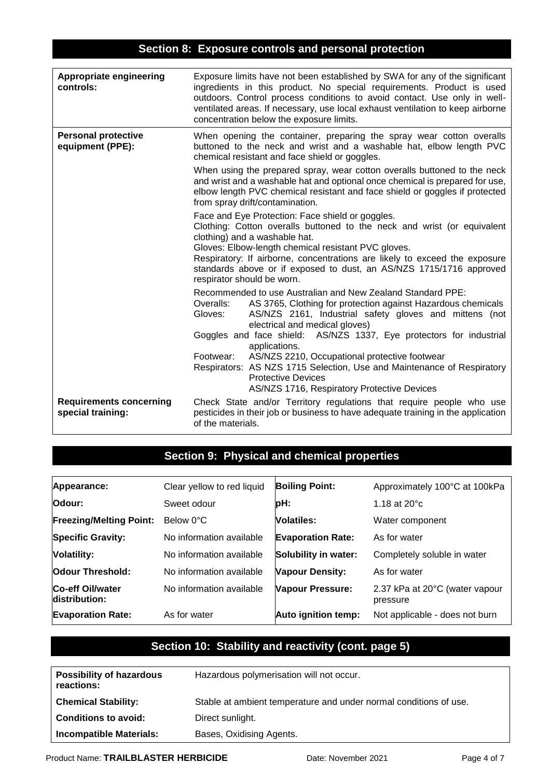### **Section 8: Exposure controls and personal protection**

| <b>Appropriate engineering</b><br>controls:         | Exposure limits have not been established by SWA for any of the significant<br>ingredients in this product. No special requirements. Product is used<br>outdoors. Control process conditions to avoid contact. Use only in well-<br>ventilated areas. If necessary, use local exhaust ventilation to keep airborne<br>concentration below the exposure limits.                                                                                                                                                                                              |  |
|-----------------------------------------------------|-------------------------------------------------------------------------------------------------------------------------------------------------------------------------------------------------------------------------------------------------------------------------------------------------------------------------------------------------------------------------------------------------------------------------------------------------------------------------------------------------------------------------------------------------------------|--|
| <b>Personal protective</b><br>equipment (PPE):      | When opening the container, preparing the spray wear cotton overalls<br>buttoned to the neck and wrist and a washable hat, elbow length PVC<br>chemical resistant and face shield or goggles.<br>When using the prepared spray, wear cotton overalls buttoned to the neck<br>and wrist and a washable hat and optional once chemical is prepared for use,<br>elbow length PVC chemical resistant and face shield or goggles if protected<br>from spray drift/contamination.                                                                                 |  |
|                                                     | Face and Eye Protection: Face shield or goggles.<br>Clothing: Cotton overalls buttoned to the neck and wrist (or equivalent<br>clothing) and a washable hat.<br>Gloves: Elbow-length chemical resistant PVC gloves.<br>Respiratory: If airborne, concentrations are likely to exceed the exposure<br>standards above or if exposed to dust, an AS/NZS 1715/1716 approved<br>respirator should be worn.                                                                                                                                                      |  |
|                                                     | Recommended to use Australian and New Zealand Standard PPE:<br>Overalls:<br>AS 3765, Clothing for protection against Hazardous chemicals<br>AS/NZS 2161, Industrial safety gloves and mittens (not<br>Gloves:<br>electrical and medical gloves)<br>Goggles and face shield: AS/NZS 1337, Eye protectors for industrial<br>applications.<br>AS/NZS 2210, Occupational protective footwear<br>Footwear:<br>Respirators: AS NZS 1715 Selection, Use and Maintenance of Respiratory<br><b>Protective Devices</b><br>AS/NZS 1716, Respiratory Protective Devices |  |
| <b>Requirements concerning</b><br>special training: | Check State and/or Territory regulations that require people who use<br>pesticides in their job or business to have adequate training in the application<br>of the materials.                                                                                                                                                                                                                                                                                                                                                                               |  |

# **Section 9: Physical and chemical properties**

| Appearance:                       | Clear yellow to red liquid | <b>Boiling Point:</b>    | Approximately 100°C at 100kPa              |
|-----------------------------------|----------------------------|--------------------------|--------------------------------------------|
| Odour:                            | Sweet odour                | pH:                      | 1.18 at $20^{\circ}$ c                     |
| <b>Freezing/Melting Point:</b>    | Below 0°C                  | <b>Volatiles:</b>        | Water component                            |
| <b>Specific Gravity:</b>          | No information available   | <b>Evaporation Rate:</b> | As for water                               |
| <b>Volatility:</b>                | No information available   | Solubility in water:     | Completely soluble in water                |
| <b>Odour Threshold:</b>           | No information available   | <b>Vapour Density:</b>   | As for water                               |
| Co-eff Oil/water<br>distribution: | No information available   | Vapour Pressure:         | 2.37 kPa at 20°C (water vapour<br>pressure |
| <b>Evaporation Rate:</b>          | As for water               | Auto ignition temp:      | Not applicable - does not burn             |

# **Section 10: Stability and reactivity (cont. page 5)**

| <b>Possibility of hazardous</b><br>reactions: | Hazardous polymerisation will not occur.                          |
|-----------------------------------------------|-------------------------------------------------------------------|
| <b>Chemical Stability:</b>                    | Stable at ambient temperature and under normal conditions of use. |
| <b>Conditions to avoid:</b>                   | Direct sunlight.                                                  |
| <b>Incompatible Materials:</b>                | Bases, Oxidising Agents.                                          |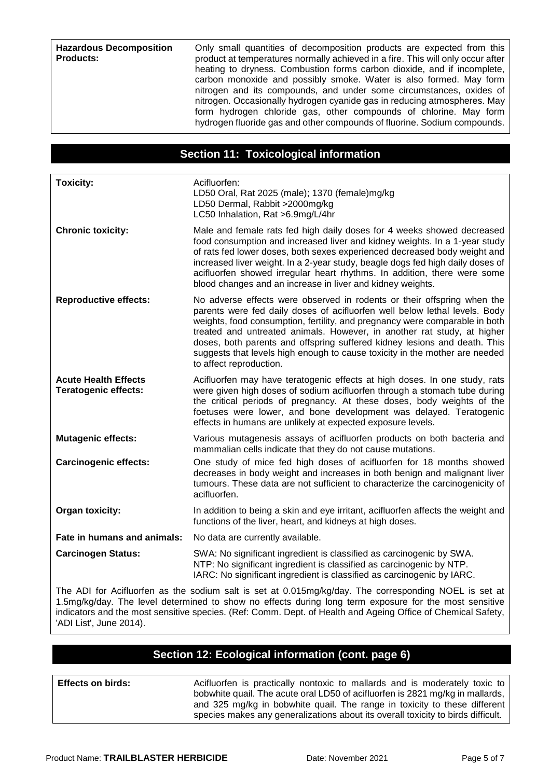Only small quantities of decomposition products are expected from this product at temperatures normally achieved in a fire. This will only occur after heating to dryness. Combustion forms carbon dioxide, and if incomplete, carbon monoxide and possibly smoke. Water is also formed. May form nitrogen and its compounds, and under some circumstances, oxides of nitrogen. Occasionally hydrogen cyanide gas in reducing atmospheres. May form hydrogen chloride gas, other compounds of chlorine. May form hydrogen fluoride gas and other compounds of fluorine. Sodium compounds.

#### **Section 11: Toxicological information**

| <b>Toxicity:</b>                                           | Acifluorfen:<br>LD50 Oral, Rat 2025 (male); 1370 (female)mg/kg<br>LD50 Dermal, Rabbit >2000mg/kg<br>LC50 Inhalation, Rat >6.9mg/L/4hr                                                                                                                                                                                                                                                                                                                                                                  |
|------------------------------------------------------------|--------------------------------------------------------------------------------------------------------------------------------------------------------------------------------------------------------------------------------------------------------------------------------------------------------------------------------------------------------------------------------------------------------------------------------------------------------------------------------------------------------|
| <b>Chronic toxicity:</b>                                   | Male and female rats fed high daily doses for 4 weeks showed decreased<br>food consumption and increased liver and kidney weights. In a 1-year study<br>of rats fed lower doses, both sexes experienced decreased body weight and<br>increased liver weight. In a 2-year study, beagle dogs fed high daily doses of<br>acifluorfen showed irregular heart rhythms. In addition, there were some<br>blood changes and an increase in liver and kidney weights.                                          |
| <b>Reproductive effects:</b>                               | No adverse effects were observed in rodents or their offspring when the<br>parents were fed daily doses of acifluorfen well below lethal levels. Body<br>weights, food consumption, fertility, and pregnancy were comparable in both<br>treated and untreated animals. However, in another rat study, at higher<br>doses, both parents and offspring suffered kidney lesions and death. This<br>suggests that levels high enough to cause toxicity in the mother are needed<br>to affect reproduction. |
| <b>Acute Health Effects</b><br><b>Teratogenic effects:</b> | Acifluorfen may have teratogenic effects at high doses. In one study, rats<br>were given high doses of sodium acifluorfen through a stomach tube during<br>the critical periods of pregnancy. At these doses, body weights of the<br>foetuses were lower, and bone development was delayed. Teratogenic<br>effects in humans are unlikely at expected exposure levels.                                                                                                                                 |
| <b>Mutagenic effects:</b>                                  | Various mutagenesis assays of acifluorfen products on both bacteria and<br>mammalian cells indicate that they do not cause mutations.                                                                                                                                                                                                                                                                                                                                                                  |
| <b>Carcinogenic effects:</b>                               | One study of mice fed high doses of acifluorfen for 18 months showed<br>decreases in body weight and increases in both benign and malignant liver<br>tumours. These data are not sufficient to characterize the carcinogenicity of<br>acifluorfen.                                                                                                                                                                                                                                                     |
| Organ toxicity:                                            | In addition to being a skin and eye irritant, acifluorfen affects the weight and<br>functions of the liver, heart, and kidneys at high doses.                                                                                                                                                                                                                                                                                                                                                          |
| Fate in humans and animals:                                | No data are currently available.                                                                                                                                                                                                                                                                                                                                                                                                                                                                       |
| <b>Carcinogen Status:</b>                                  | SWA: No significant ingredient is classified as carcinogenic by SWA.<br>NTP: No significant ingredient is classified as carcinogenic by NTP.<br>IARC: No significant ingredient is classified as carcinogenic by IARC.                                                                                                                                                                                                                                                                                 |

The ADI for Acifluorfen as the sodium salt is set at 0.015mg/kg/day. The corresponding NOEL is set at 1.5mg/kg/day. The level determined to show no effects during long term exposure for the most sensitive indicators and the most sensitive species. (Ref: Comm. Dept. of Health and Ageing Office of Chemical Safety, 'ADI List', June 2014).

#### **Section 12: Ecological information (cont. page 6)**

**Effects on birds:** Acifluorfen is practically nontoxic to mallards and is moderately toxic to bobwhite quail. The acute oral LD50 of acifluorfen is 2821 mg/kg in mallards, and 325 mg/kg in bobwhite quail. The range in toxicity to these different species makes any generalizations about its overall toxicity to birds difficult.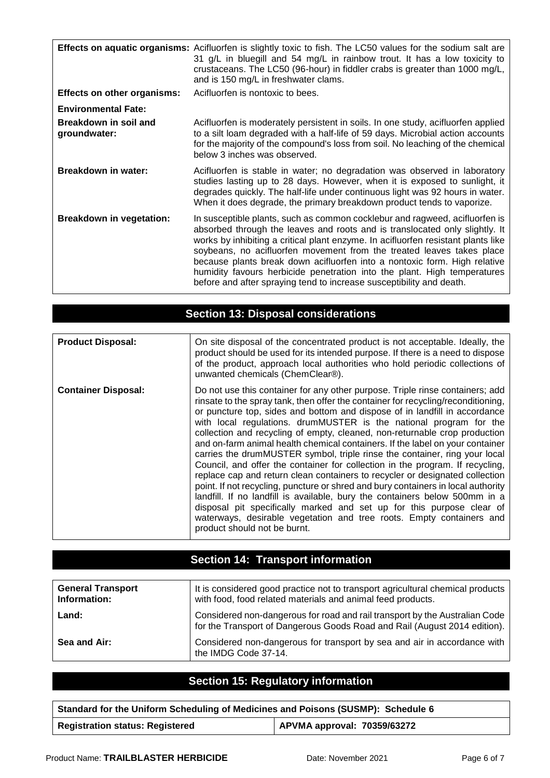|                                       | <b>Effects on aquatic organisms:</b> Acifluorfen is slightly toxic to fish. The LC50 values for the sodium salt are<br>31 g/L in bluegill and 54 mg/L in rainbow trout. It has a low toxicity to<br>crustaceans. The LC50 (96-hour) in fiddler crabs is greater than 1000 mg/L,<br>and is 150 mg/L in freshwater clams.                                                                                                                                                                                                                                   |
|---------------------------------------|-----------------------------------------------------------------------------------------------------------------------------------------------------------------------------------------------------------------------------------------------------------------------------------------------------------------------------------------------------------------------------------------------------------------------------------------------------------------------------------------------------------------------------------------------------------|
| <b>Effects on other organisms:</b>    | Acifluorfen is nontoxic to bees.                                                                                                                                                                                                                                                                                                                                                                                                                                                                                                                          |
| <b>Environmental Fate:</b>            |                                                                                                                                                                                                                                                                                                                                                                                                                                                                                                                                                           |
| Breakdown in soil and<br>groundwater: | Acifluorfen is moderately persistent in soils. In one study, acifluorfen applied<br>to a silt loam degraded with a half-life of 59 days. Microbial action accounts<br>for the majority of the compound's loss from soil. No leaching of the chemical<br>below 3 inches was observed.                                                                                                                                                                                                                                                                      |
| <b>Breakdown in water:</b>            | Acifluorfen is stable in water; no degradation was observed in laboratory<br>studies lasting up to 28 days. However, when it is exposed to sunlight, it<br>degrades quickly. The half-life under continuous light was 92 hours in water.<br>When it does degrade, the primary breakdown product tends to vaporize.                                                                                                                                                                                                                                        |
| <b>Breakdown in vegetation:</b>       | In susceptible plants, such as common cocklebur and ragweed, acifluorfen is<br>absorbed through the leaves and roots and is translocated only slightly. It<br>works by inhibiting a critical plant enzyme. In acifluorfen resistant plants like<br>soybeans, no acifluorfen movement from the treated leaves takes place<br>because plants break down acifluorfen into a nontoxic form. High relative<br>humidity favours herbicide penetration into the plant. High temperatures<br>before and after spraying tend to increase susceptibility and death. |

| <b>Section 13: Disposal considerations</b> |                                                                                                                                                                                                                                                                                                                                                                                                                                                                                                                                                                                                                                                                                                                                                                                                                                                                                                                                                                                                                                                                                           |  |
|--------------------------------------------|-------------------------------------------------------------------------------------------------------------------------------------------------------------------------------------------------------------------------------------------------------------------------------------------------------------------------------------------------------------------------------------------------------------------------------------------------------------------------------------------------------------------------------------------------------------------------------------------------------------------------------------------------------------------------------------------------------------------------------------------------------------------------------------------------------------------------------------------------------------------------------------------------------------------------------------------------------------------------------------------------------------------------------------------------------------------------------------------|--|
|                                            |                                                                                                                                                                                                                                                                                                                                                                                                                                                                                                                                                                                                                                                                                                                                                                                                                                                                                                                                                                                                                                                                                           |  |
| <b>Product Disposal:</b>                   | On site disposal of the concentrated product is not acceptable. Ideally, the<br>product should be used for its intended purpose. If there is a need to dispose<br>of the product, approach local authorities who hold periodic collections of<br>unwanted chemicals (ChemClear®).                                                                                                                                                                                                                                                                                                                                                                                                                                                                                                                                                                                                                                                                                                                                                                                                         |  |
| <b>Container Disposal:</b>                 | Do not use this container for any other purpose. Triple rinse containers; add<br>rinsate to the spray tank, then offer the container for recycling/reconditioning,<br>or puncture top, sides and bottom and dispose of in landfill in accordance<br>with local regulations. drumMUSTER is the national program for the<br>collection and recycling of empty, cleaned, non-returnable crop production<br>and on-farm animal health chemical containers. If the label on your container<br>carries the drumMUSTER symbol, triple rinse the container, ring your local<br>Council, and offer the container for collection in the program. If recycling,<br>replace cap and return clean containers to recycler or designated collection<br>point. If not recycling, puncture or shred and bury containers in local authority<br>landfill. If no landfill is available, bury the containers below 500mm in a<br>disposal pit specifically marked and set up for this purpose clear of<br>waterways, desirable vegetation and tree roots. Empty containers and<br>product should not be burnt. |  |

# **Section 14: Transport information**

| <b>General Transport</b><br>Information: | It is considered good practice not to transport agricultural chemical products<br>with food, food related materials and animal feed products.              |
|------------------------------------------|------------------------------------------------------------------------------------------------------------------------------------------------------------|
| Land:                                    | Considered non-dangerous for road and rail transport by the Australian Code<br>for the Transport of Dangerous Goods Road and Rail (August 2014 edition). I |
| Sea and Air:                             | Considered non-dangerous for transport by sea and air in accordance with<br>the IMDG Code 37-14.                                                           |

# **Section 15: Regulatory information**

| Standard for the Uniform Scheduling of Medicines and Poisons (SUSMP): Schedule 6 |                             |  |  |  |
|----------------------------------------------------------------------------------|-----------------------------|--|--|--|
| <b>Registration status: Registered</b>                                           | APVMA approval: 70359/63272 |  |  |  |